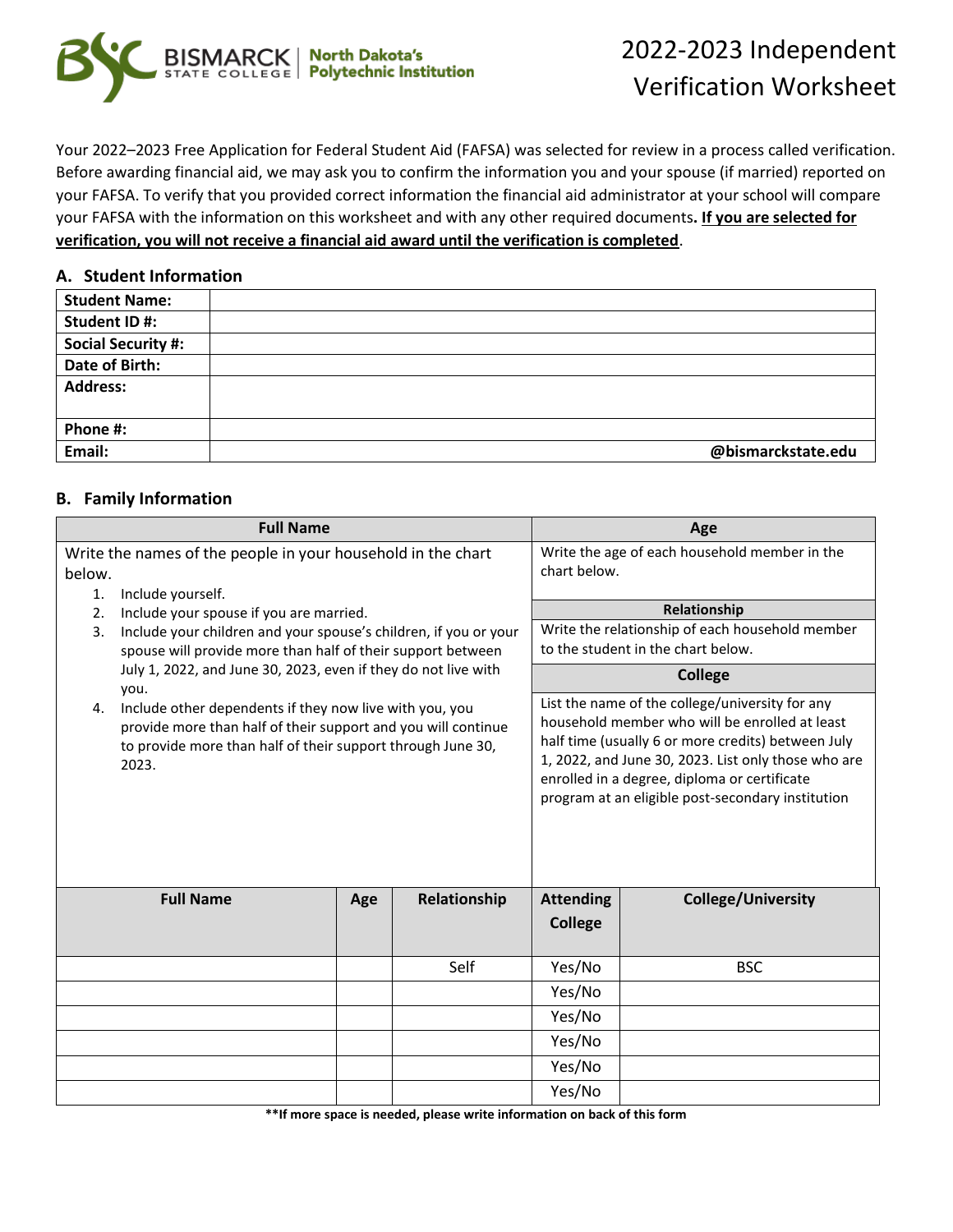

# 2022-2023 Independent Verification Worksheet

Your 2022–2023 Free Application for Federal Student Aid (FAFSA) was selected for review in a process called verification. Before awarding financial aid, we may ask you to confirm the information you and your spouse (if married) reported on your FAFSA. To verify that you provided correct information the financial aid administrator at your school will compare your FAFSA with the information on this worksheet and with any other required documents**. If you are selected for verification, you will not receive a financial aid award until the verification is completed**.

#### **A. Student Information**

| <b>Student Name:</b>      |                    |
|---------------------------|--------------------|
| Student ID#:              |                    |
| <b>Social Security #:</b> |                    |
| Date of Birth:            |                    |
| <b>Address:</b>           |                    |
|                           |                    |
| Phone #:                  |                    |
| Email:                    | @bismarckstate.edu |

### **B. Family Information**

| <b>Full Name</b>                                                                                                                                                                                                                                                                                                                                                                                                          |     |                     |                                                                                                                                                                                                                                                                                                                     | Age                                           |
|---------------------------------------------------------------------------------------------------------------------------------------------------------------------------------------------------------------------------------------------------------------------------------------------------------------------------------------------------------------------------------------------------------------------------|-----|---------------------|---------------------------------------------------------------------------------------------------------------------------------------------------------------------------------------------------------------------------------------------------------------------------------------------------------------------|-----------------------------------------------|
| Write the names of the people in your household in the chart<br>below.<br>1.                                                                                                                                                                                                                                                                                                                                              |     |                     | chart below.                                                                                                                                                                                                                                                                                                        | Write the age of each household member in the |
| Include yourself.<br>Include your spouse if you are married.<br>2.                                                                                                                                                                                                                                                                                                                                                        |     |                     |                                                                                                                                                                                                                                                                                                                     | Relationship                                  |
| Include your children and your spouse's children, if you or your<br>3.<br>spouse will provide more than half of their support between<br>July 1, 2022, and June 30, 2023, even if they do not live with<br>you.<br>Include other dependents if they now live with you, you<br>4.<br>provide more than half of their support and you will continue<br>to provide more than half of their support through June 30,<br>2023. |     |                     | Write the relationship of each household member<br>to the student in the chart below.                                                                                                                                                                                                                               |                                               |
|                                                                                                                                                                                                                                                                                                                                                                                                                           |     |                     | <b>College</b>                                                                                                                                                                                                                                                                                                      |                                               |
|                                                                                                                                                                                                                                                                                                                                                                                                                           |     |                     | List the name of the college/university for any<br>household member who will be enrolled at least<br>half time (usually 6 or more credits) between July<br>1, 2022, and June 30, 2023. List only those who are<br>enrolled in a degree, diploma or certificate<br>program at an eligible post-secondary institution |                                               |
| <b>Full Name</b>                                                                                                                                                                                                                                                                                                                                                                                                          | Age | <b>Relationship</b> | <b>Attending</b><br><b>College</b>                                                                                                                                                                                                                                                                                  | <b>College/University</b>                     |
|                                                                                                                                                                                                                                                                                                                                                                                                                           |     | Self                | Yes/No                                                                                                                                                                                                                                                                                                              | <b>BSC</b>                                    |
|                                                                                                                                                                                                                                                                                                                                                                                                                           |     |                     | Yes/No                                                                                                                                                                                                                                                                                                              |                                               |
|                                                                                                                                                                                                                                                                                                                                                                                                                           |     |                     | Yes/No                                                                                                                                                                                                                                                                                                              |                                               |
|                                                                                                                                                                                                                                                                                                                                                                                                                           |     |                     | Yes/No                                                                                                                                                                                                                                                                                                              |                                               |
|                                                                                                                                                                                                                                                                                                                                                                                                                           |     |                     | Yes/No                                                                                                                                                                                                                                                                                                              |                                               |
|                                                                                                                                                                                                                                                                                                                                                                                                                           |     |                     | Yes/No                                                                                                                                                                                                                                                                                                              |                                               |

**\*\*If more space is needed, please write information on back of this form**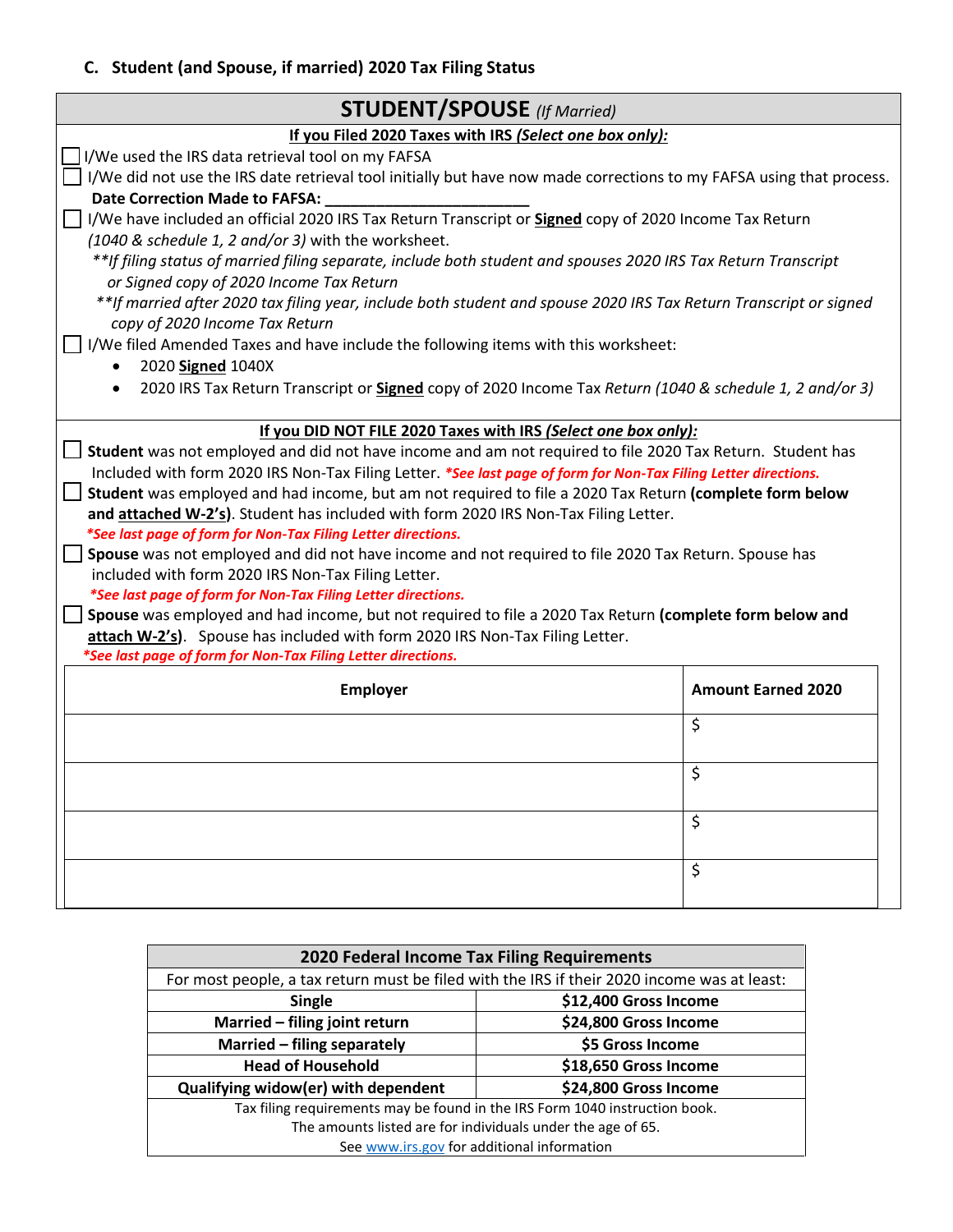# **C. Student (and Spouse, if married) 2020 Tax Filing Status**

| <b>STUDENT/SPOUSE</b> (If Married)                                                                                                                  |                           |  |
|-----------------------------------------------------------------------------------------------------------------------------------------------------|---------------------------|--|
| If you Filed 2020 Taxes with IRS (Select one box only):                                                                                             |                           |  |
| I/We used the IRS data retrieval tool on my FAFSA                                                                                                   |                           |  |
| I/We did not use the IRS date retrieval tool initially but have now made corrections to my FAFSA using that process.                                |                           |  |
| <b>Date Correction Made to FAFSA:</b>                                                                                                               |                           |  |
| I/We have included an official 2020 IRS Tax Return Transcript or <b>Signed</b> copy of 2020 Income Tax Return                                       |                           |  |
| (1040 & schedule 1, 2 and/or 3) with the worksheet.                                                                                                 |                           |  |
| **If filing status of married filing separate, include both student and spouses 2020 IRS Tax Return Transcript                                      |                           |  |
| or Signed copy of 2020 Income Tax Return                                                                                                            |                           |  |
| **If married after 2020 tax filing year, include both student and spouse 2020 IRS Tax Return Transcript or signed<br>copy of 2020 Income Tax Return |                           |  |
| I/We filed Amended Taxes and have include the following items with this worksheet:                                                                  |                           |  |
| 2020 Signed 1040X                                                                                                                                   |                           |  |
| 2020 IRS Tax Return Transcript or <b>Signed</b> copy of 2020 Income Tax Return (1040 & schedule 1, 2 and/or 3)                                      |                           |  |
|                                                                                                                                                     |                           |  |
| If you DID NOT FILE 2020 Taxes with IRS (Select one box only):                                                                                      |                           |  |
| Student was not employed and did not have income and am not required to file 2020 Tax Return. Student has                                           |                           |  |
| Included with form 2020 IRS Non-Tax Filing Letter. *See last page of form for Non-Tax Filing Letter directions.                                     |                           |  |
| Student was employed and had income, but am not required to file a 2020 Tax Return (complete form below                                             |                           |  |
| and attached W-2's). Student has included with form 2020 IRS Non-Tax Filing Letter.                                                                 |                           |  |
| *See last page of form for Non-Tax Filing Letter directions.                                                                                        |                           |  |
| Spouse was not employed and did not have income and not required to file 2020 Tax Return. Spouse has                                                |                           |  |
| included with form 2020 IRS Non-Tax Filing Letter.                                                                                                  |                           |  |
| *See last page of form for Non-Tax Filing Letter directions.                                                                                        |                           |  |
| Spouse was employed and had income, but not required to file a 2020 Tax Return (complete form below and                                             |                           |  |
| attach W-2's). Spouse has included with form 2020 IRS Non-Tax Filing Letter.                                                                        |                           |  |
| *See last page of form for Non-Tax Filing Letter directions.                                                                                        |                           |  |
| <b>Employer</b>                                                                                                                                     | <b>Amount Earned 2020</b> |  |
|                                                                                                                                                     | \$                        |  |
|                                                                                                                                                     |                           |  |
| \$                                                                                                                                                  |                           |  |
|                                                                                                                                                     |                           |  |
| \$                                                                                                                                                  |                           |  |
|                                                                                                                                                     |                           |  |
| \$                                                                                                                                                  |                           |  |
|                                                                                                                                                     |                           |  |

| 2020 Federal Income Tax Filing Requirements                                                 |                       |  |
|---------------------------------------------------------------------------------------------|-----------------------|--|
| For most people, a tax return must be filed with the IRS if their 2020 income was at least: |                       |  |
| <b>Single</b>                                                                               | \$12,400 Gross Income |  |
| Married - filing joint return                                                               | \$24,800 Gross Income |  |
| Married - filing separately                                                                 | \$5 Gross Income      |  |
| <b>Head of Household</b>                                                                    | \$18,650 Gross Income |  |
| Qualifying widow(er) with dependent                                                         | \$24,800 Gross Income |  |
| Tax filing requirements may be found in the IRS Form 1040 instruction book.                 |                       |  |
| The amounts listed are for individuals under the age of 65.                                 |                       |  |
| See www.irs.gov for additional information                                                  |                       |  |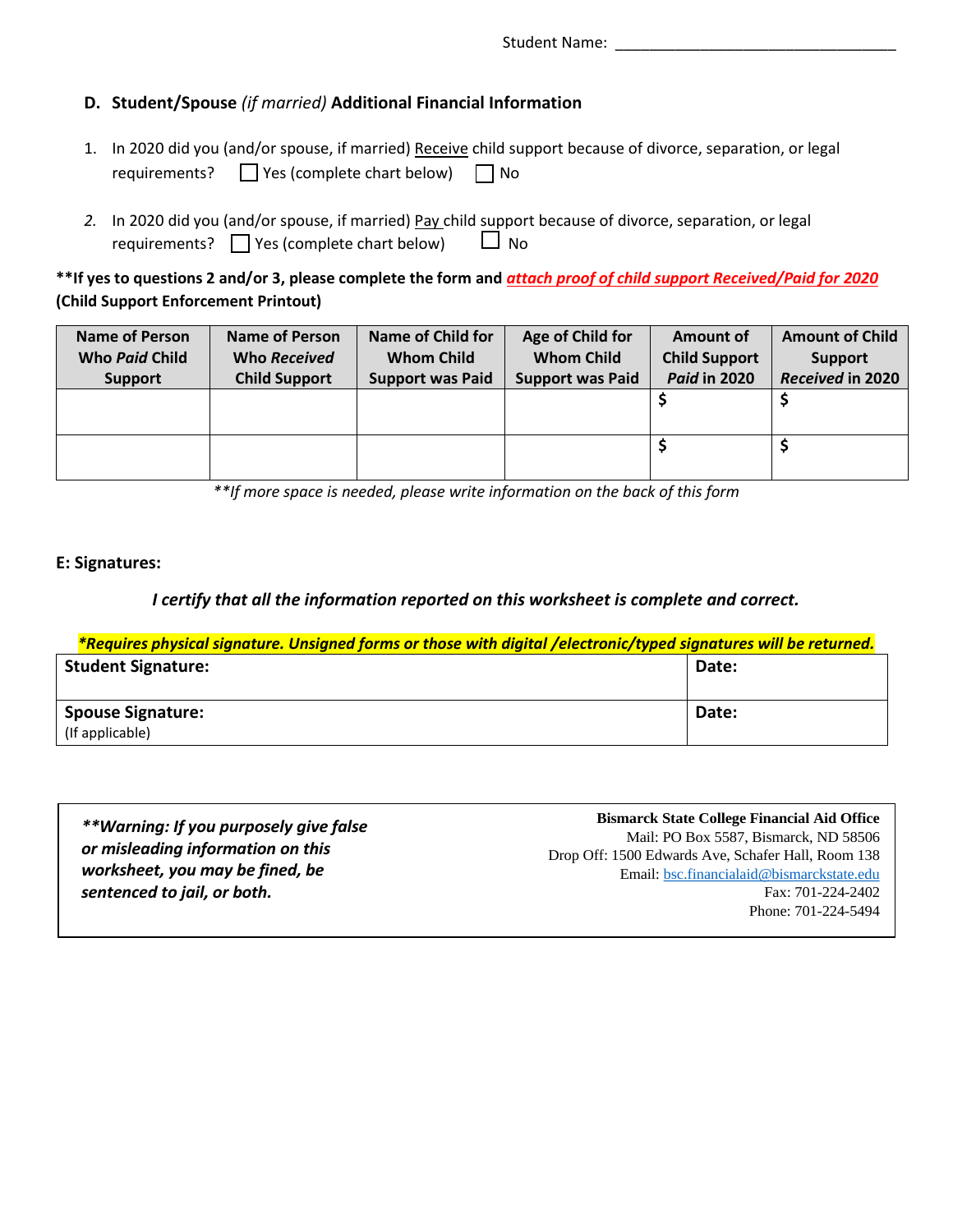## **D. Student/Spouse** *(if married)* **Additional Financial Information**

- 1. In 2020 did you (and/or spouse, if married) Receive child support because of divorce, separation, or legal requirements? ◯ Yes (complete chart below) ◯ No
- *2.* In 2020 did you (and/or spouse, if married) Pay child support because of divorce, separation, or legal requirements?  $\Box$  Yes (complete chart below)  $\Box$  No

**\*\*If yes to questions 2 and/or 3, please complete the form and** *attach proof of child support Received/Paid for 2020* **(Child Support Enforcement Printout)** 

| <b>Name of Person</b><br>Who Paid Child<br><b>Support</b> | Name of Person<br>Who Received<br><b>Child Support</b> | <b>Name of Child for</b><br><b>Whom Child</b><br><b>Support was Paid</b> | Age of Child for<br><b>Whom Child</b><br><b>Support was Paid</b> | Amount of<br><b>Child Support</b><br><b>Paid in 2020</b> | <b>Amount of Child</b><br><b>Support</b><br>Received in 2020 |
|-----------------------------------------------------------|--------------------------------------------------------|--------------------------------------------------------------------------|------------------------------------------------------------------|----------------------------------------------------------|--------------------------------------------------------------|
|                                                           |                                                        |                                                                          |                                                                  |                                                          |                                                              |
|                                                           |                                                        |                                                                          |                                                                  |                                                          |                                                              |

*\*\*If more space is needed, please write information on the back of this form*

### **E: Signatures:**

### *I certify that all the information reported on this worksheet is complete and correct.*

| *Requires physical signature. Unsigned forms or those with digital /electronic/typed signatures will be returned. |       |
|-------------------------------------------------------------------------------------------------------------------|-------|
| <b>Student Signature:</b>                                                                                         | Date: |
|                                                                                                                   |       |
| <b>Spouse Signature:</b>                                                                                          | Date: |
| (If applicable)                                                                                                   |       |

| **Warning: If you purposely give false | <b>Bismarck State College Financial Aid Office</b> |
|----------------------------------------|----------------------------------------------------|
|                                        | Mail: PO Box 5587, Bismarck, ND 58506              |
| or misleading information on this      | Drop Off: 1500 Edwards Ave, Schafer Hall, Room 138 |
| worksheet, you may be fined, be        | Email: bsc.financialaid@bismarckstate.edu          |
| sentenced to jail, or both.            | Fax: 701-224-2402                                  |
|                                        | Phone: 701-224-5494                                |
|                                        |                                                    |